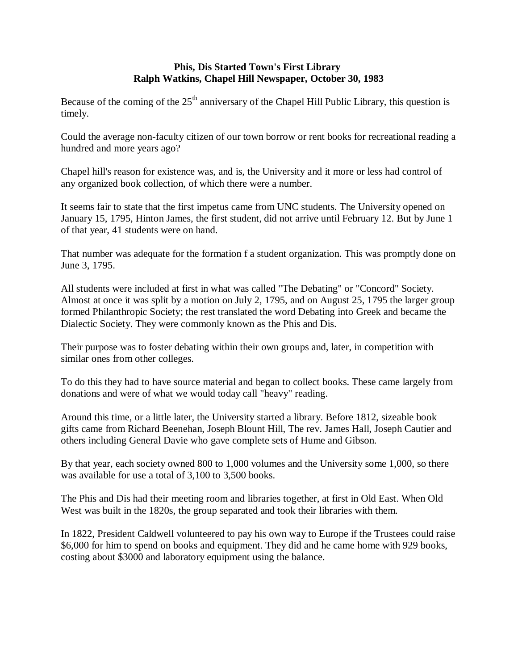## **Phis, Dis Started Town's First Library Ralph Watkins, Chapel Hill Newspaper, October 30, 1983**

Because of the coming of the  $25<sup>th</sup>$  anniversary of the Chapel Hill Public Library, this question is timely.

Could the average non-faculty citizen of our town borrow or rent books for recreational reading a hundred and more years ago?

Chapel hill's reason for existence was, and is, the University and it more or less had control of any organized book collection, of which there were a number.

It seems fair to state that the first impetus came from UNC students. The University opened on January 15, 1795, Hinton James, the first student, did not arrive until February 12. But by June 1 of that year, 41 students were on hand.

That number was adequate for the formation f a student organization. This was promptly done on June 3, 1795.

All students were included at first in what was called "The Debating" or "Concord" Society. Almost at once it was split by a motion on July 2, 1795, and on August 25, 1795 the larger group formed Philanthropic Society; the rest translated the word Debating into Greek and became the Dialectic Society. They were commonly known as the Phis and Dis.

Their purpose was to foster debating within their own groups and, later, in competition with similar ones from other colleges.

To do this they had to have source material and began to collect books. These came largely from donations and were of what we would today call "heavy" reading.

Around this time, or a little later, the University started a library. Before 1812, sizeable book gifts came from Richard Beenehan, Joseph Blount Hill, The rev. James Hall, Joseph Cautier and others including General Davie who gave complete sets of Hume and Gibson.

By that year, each society owned 800 to 1,000 volumes and the University some 1,000, so there was available for use a total of 3,100 to 3,500 books.

The Phis and Dis had their meeting room and libraries together, at first in Old East. When Old West was built in the 1820s, the group separated and took their libraries with them.

In 1822, President Caldwell volunteered to pay his own way to Europe if the Trustees could raise \$6,000 for him to spend on books and equipment. They did and he came home with 929 books, costing about \$3000 and laboratory equipment using the balance.